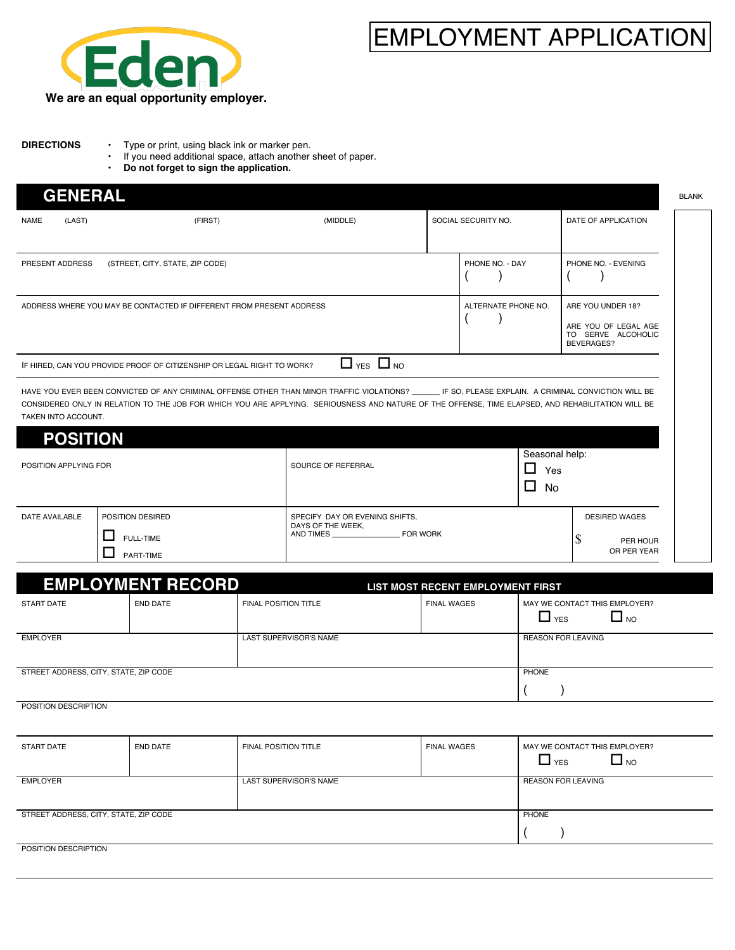

## EMPLOYMENT APPLICATION

- **DIRECTIONS** Type or print, using black ink or marker pen.<br>• If you need additional space, attach another If you need additional space, attach another sheet of paper.
	- **Do not forget to sign the application.**

| <b>GENERAL</b>                                                                                                                                                                                                                                                                                                              |                                                                        |                                                     |  |                                                   |                                                                               | <b>BLANK</b> |
|-----------------------------------------------------------------------------------------------------------------------------------------------------------------------------------------------------------------------------------------------------------------------------------------------------------------------------|------------------------------------------------------------------------|-----------------------------------------------------|--|---------------------------------------------------|-------------------------------------------------------------------------------|--------------|
| (LAST)<br><b>NAME</b>                                                                                                                                                                                                                                                                                                       | (FIRST)                                                                | (MIDDLE)                                            |  | SOCIAL SECURITY NO.                               | DATE OF APPLICATION                                                           |              |
|                                                                                                                                                                                                                                                                                                                             |                                                                        |                                                     |  |                                                   |                                                                               |              |
| PRESENT ADDRESS                                                                                                                                                                                                                                                                                                             | (STREET, CITY, STATE, ZIP CODE)                                        |                                                     |  | PHONE NO. - DAY                                   | PHONE NO. - EVENING                                                           |              |
|                                                                                                                                                                                                                                                                                                                             | ADDRESS WHERE YOU MAY BE CONTACTED IF DIFFERENT FROM PRESENT ADDRESS   |                                                     |  | ALTERNATE PHONE NO.                               | ARE YOU UNDER 18?<br>ARE YOU OF LEGAL AGE<br>TO SERVE ALCOHOLIC<br>BEVERAGES? |              |
|                                                                                                                                                                                                                                                                                                                             | IF HIRED, CAN YOU PROVIDE PROOF OF CITIZENSHIP OR LEGAL RIGHT TO WORK? | $\Box$ YES $\Box$ NO                                |  |                                                   |                                                                               |              |
| HAVE YOU EVER BEEN CONVICTED OF ANY CRIMINAL OFFENSE OTHER THAN MINOR TRAFFIC VIOLATIONS? IF SO, PLEASE EXPLAIN. A CRIMINAL CONVICTION WILL BE<br>CONSIDERED ONLY IN RELATION TO THE JOB FOR WHICH YOU ARE APPLYING. SERIOUSNESS AND NATURE OF THE OFFENSE, TIME ELAPSED, AND REHABILITATION WILL BE<br>TAKEN INTO ACCOUNT. |                                                                        |                                                     |  |                                                   |                                                                               |              |
| <b>POSITION</b>                                                                                                                                                                                                                                                                                                             |                                                                        |                                                     |  |                                                   |                                                                               |              |
| POSITION APPLYING FOR                                                                                                                                                                                                                                                                                                       |                                                                        | SOURCE OF REFERRAL                                  |  | Seasonal help:<br>П<br>Yes<br>$\Box$<br><b>No</b> |                                                                               |              |
| <b>DATE AVAILABLE</b>                                                                                                                                                                                                                                                                                                       | POSITION DESIRED                                                       | SPECIFY DAY OR EVENING SHIFTS,<br>DAYS OF THE WEEK, |  |                                                   | <b>DESIRED WAGES</b>                                                          |              |
|                                                                                                                                                                                                                                                                                                                             | <b>FULL-TIME</b>                                                       | AND TIMES FOR WORK                                  |  |                                                   | S<br>PER HOUR<br>OR PER YEAR                                                  |              |
|                                                                                                                                                                                                                                                                                                                             | PART-TIME                                                              |                                                     |  |                                                   |                                                                               |              |

|                                       | <b>EMPLOYMENT RECORD</b> |                             | LIST MOST RECENT EMPLOYMENT FIRST |                                                          |  |  |
|---------------------------------------|--------------------------|-----------------------------|-----------------------------------|----------------------------------------------------------|--|--|
| START DATE                            | <b>END DATE</b>          | <b>FINAL POSITION TITLE</b> | <b>FINAL WAGES</b>                | MAY WE CONTACT THIS EMPLOYER?<br>$\Box$ NO<br>$\Box$ YES |  |  |
| <b>EMPLOYER</b>                       |                          | LAST SUPERVISOR'S NAME      |                                   | <b>REASON FOR LEAVING</b>                                |  |  |
| STREET ADDRESS, CITY, STATE, ZIP CODE |                          |                             |                                   | PHONE                                                    |  |  |
|                                       |                          |                             |                                   |                                                          |  |  |

**POSITION DESCRIPTION** 

| <b>START DATE</b>                     | <b>END DATE</b> | <b>FINAL POSITION TITLE</b> | <b>FINAL WAGES</b> | MAY WE CONTACT THIS EMPLOYER?<br>$\Box$ NO<br>$\Box$ YES |  |
|---------------------------------------|-----------------|-----------------------------|--------------------|----------------------------------------------------------|--|
| EMPLOYER                              |                 | LAST SUPERVISOR'S NAME      |                    | <b>REASON FOR LEAVING</b>                                |  |
| STREET ADDRESS, CITY, STATE, ZIP CODE |                 |                             |                    | PHONE                                                    |  |
| POSITION DESCRIPTION                  |                 |                             |                    |                                                          |  |